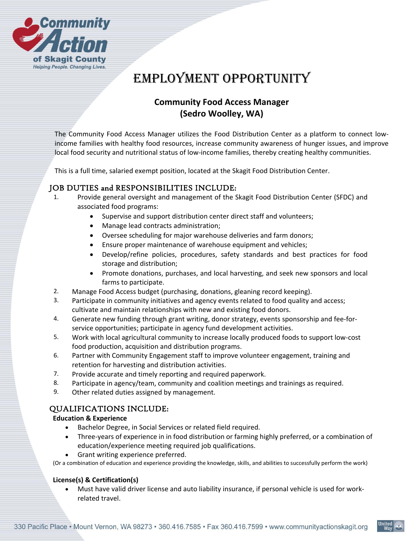

# EMPLOYMENT OPPORTUNITY

## **Community Food Access Manager (Sedro Woolley, WA)**

The Community Food Access Manager utilizes the Food Distribution Center as a platform to connect lowincome families with healthy food resources, increase community awareness of hunger issues, and improve local food security and nutritional status of low-income families, thereby creating healthy communities.

This is a full time, salaried exempt position, located at the Skagit Food Distribution Center.

## JOB DUTIES and RESPONSIBILITIES INCLUDE:

- 1. Provide general oversight and management of the Skagit Food Distribution Center (SFDC) and associated food programs:
	- Supervise and support distribution center direct staff and volunteers;
	- Manage lead contracts administration;
	- Oversee scheduling for major warehouse deliveries and farm donors;
	- Ensure proper maintenance of warehouse equipment and vehicles;
	- Develop/refine policies, procedures, safety standards and best practices for food storage and distribution;
	- Promote donations, purchases, and local harvesting, and seek new sponsors and local farms to participate.
- 2. Manage Food Access budget (purchasing, donations, gleaning record keeping).
- 3. Participate in community initiatives and agency events related to food quality and access; cultivate and maintain relationships with new and existing food donors.
- 4. Generate new funding through grant writing, donor strategy, events sponsorship and fee-forservice opportunities; participate in agency fund development activities.
- 5. Work with local agricultural community to increase locally produced foods to support low‐cost food production, acquisition and distribution programs.
- 6. Partner with Community Engagement staff to improve volunteer engagement, training and retention for harvesting and distribution activities.
- 7. Provide accurate and timely reporting and required paperwork.
- 8. Participate in agency/team, community and coalition meetings and trainings as required.
- 9. Other related duties assigned by management.

### QUALIFICATIONS INCLUDE:

#### **Education & Experience**

- Bachelor Degree, in Social Services or related field required.
- Three‐years of experience in in food distribution or farming highly preferred, or a combination of education/experience meeting required job qualifications.
- Grant writing experience preferred.

(Or a combination of education and experience providing the knowledge, skills, and abilities to successfully perform the work)

#### **License(s) & Certification(s)**

 Must have valid driver license and auto liability insurance, if personal vehicle is used for work‐ related travel.

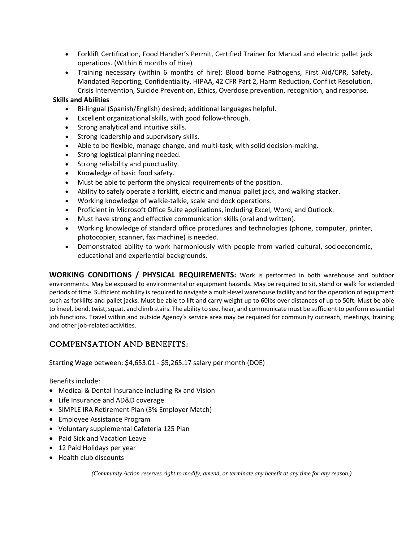- Forklift Certification, Food Handler's Permit, Certified Trainer for Manual and electric pallet jack operations. (Within 6 months of Hire)
- Training necessary (within 6 months of hire): Blood borne Pathogens, First Aid/CPR, Safety, Mandated Reporting, Confidentiality, HIPAA, 42 CFR Part 2, Harm Reduction, Conflict Resolution, Crisis Intervention, Suicide Prevention, Ethics, Overdose prevention, recognition, and response.

#### **Skills and Abilities**

- Bi-lingual (Spanish/English) desired; additional languages helpful.
- Excellent organizational skills, with good follow‐through.
- Strong analytical and intuitive skills.
- Strong leadership and supervisory skills.
- Able to be flexible, manage change, and multi-task, with solid decision-making.
- Strong logistical planning needed.
- Strong reliability and punctuality.
- Knowledge of basic food safety.
- Must be able to perform the physical requirements of the position.
- Ability to safely operate a forklift, electric and manual pallet jack, and walking stacker.
- Working knowledge of walkie‐talkie, scale and dock operations.
- Proficient in Microsoft Office Suite applications, including Excel, Word, and Outlook.
- Must have strong and effective communication skills (oral and written).
- Working knowledge of standard office procedures and technologies (phone, computer, printer, photocopier, scanner, fax machine) is needed.
- Demonstrated ability to work harmoniously with people from varied cultural, socioeconomic, educational and experiential backgrounds.

**WORKING CONDITIONS / PHYSICAL REQUIREMENTS:**  Work is performed in both warehouse and outdoor environments. May be exposed to environmental or equipment hazards. May be required to sit, stand or walk for extended periods of time. Sufficient mobility is required to navigate a multi‐level warehouse facility and for the operation of equipment such as forklifts and pallet jacks. Must be able to lift and carry weight up to 60lbs over distances of up to 50ft. Must be able to kneel, bend, twist, squat, and climb stairs. The ability to see, hear, and communicate must be sufficient to perform essential job functions. Travel within and outside Agency's service area may be required for community outreach, meetings, training and other job-related activities.

## COMPENSATION AND BENEFITS:

Starting Wage between: \$4,653.01 ‐ \$5,265.17 salary per month (DOE)

Benefits include:

- Medical & Dental Insurance including Rx and Vision
- Life Insurance and AD&D coverage
- SIMPLE IRA Retirement Plan (3% Employer Match)
- Employee Assistance Program
- Voluntary supplemental Cafeteria 125 Plan
- Paid Sick and Vacation Leave
- 12 Paid Holidays per year
- Health club discounts

*(Community Action reserves right to modify, amend, or terminate any benefit at any time for any reason.)*